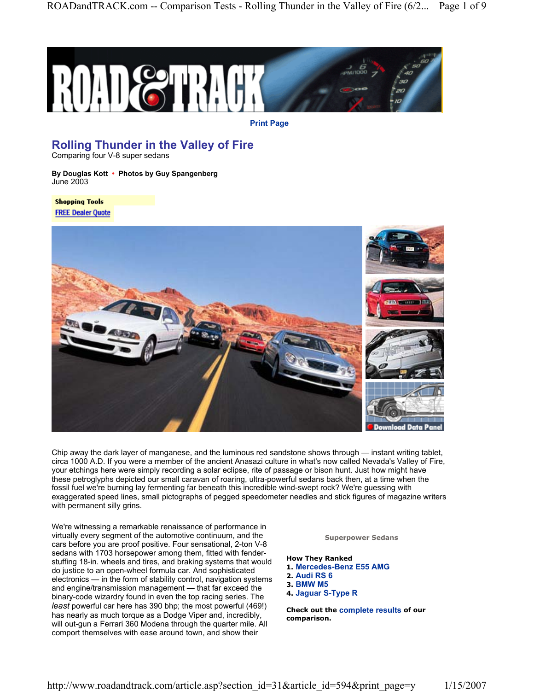

**Print Page**

# **Rolling Thunder in the Valley of Fire**

Comparing four V-8 super sedans

**By Douglas Kott • Photos by Guy Spangenberg** June 2003

**Shopping Tools FREE Dealer Quote** 



Chip away the dark layer of manganese, and the luminous red sandstone shows through — instant writing tablet, circa 1000 A.D. If you were a member of the ancient Anasazi culture in what's now called Nevada's Valley of Fire, your etchings here were simply recording a solar eclipse, rite of passage or bison hunt. Just how might have these petroglyphs depicted our small caravan of roaring, ultra-powerful sedans back then, at a time when the fossil fuel we're burning lay fermenting far beneath this incredible wind-swept rock? We're guessing with exaggerated speed lines, small pictographs of pegged speedometer needles and stick figures of magazine writers with permanent silly grins.

We're witnessing a remarkable renaissance of performance in virtually every segment of the automotive continuum, and the cars before you are proof positive. Four sensational, 2-ton V-8 sedans with 1703 horsepower among them, fitted with fenderstuffing 18-in. wheels and tires, and braking systems that would do justice to an open-wheel formula car. And sophisticated electronics — in the form of stability control, navigation systems and engine/transmission management — that far exceed the binary-code wizardry found in even the top racing series. The *least* powerful car here has 390 bhp; the most powerful (469!) has nearly as much torque as a Dodge Viper and, incredibly, will out-gun a Ferrari 360 Modena through the quarter mile. All comport themselves with ease around town, and show their

**Superpower Sedans**

**How They Ranked 1. Mercedes-Benz E55 AMG 2. Audi RS 6 3. BMW M5 4. Jaguar S-Type R**

**Check out the complete results of our comparison.**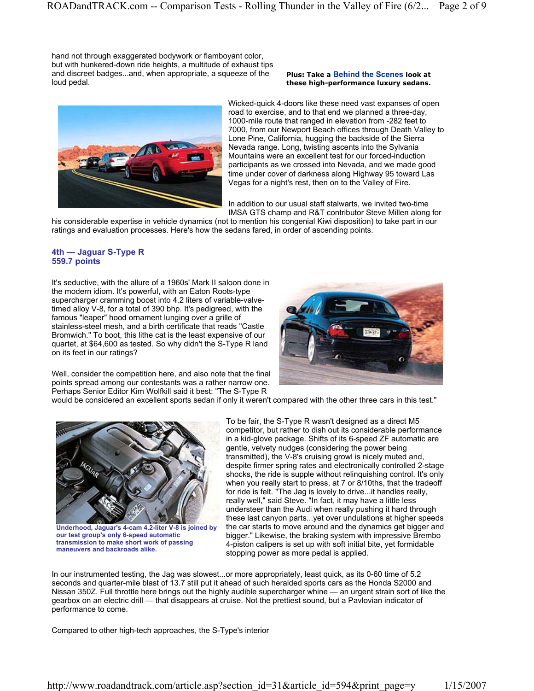hand not through exaggerated bodywork or flamboyant color, but with hunkered-down ride heights, a multitude of exhaust tips and discreet badges...and, when appropriate, a squeeze of the loud pedal.

#### **Plus: Take a Behind the Scenes look at these high-performance luxury sedans.**



Wicked-quick 4-doors like these need vast expanses of open road to exercise, and to that end we planned a three-day, 1000-mile route that ranged in elevation from -282 feet to 7000, from our Newport Beach offices through Death Valley to Lone Pine, California, hugging the backside of the Sierra Nevada range. Long, twisting ascents into the Sylvania Mountains were an excellent test for our forced-induction participants as we crossed into Nevada, and we made good time under cover of darkness along Highway 95 toward Las Vegas for a night's rest, then on to the Valley of Fire.

In addition to our usual staff stalwarts, we invited two-time IMSA GTS champ and R&T contributor Steve Millen along for

his considerable expertise in vehicle dynamics (not to mention his congenial Kiwi disposition) to take part in our ratings and evaluation processes. Here's how the sedans fared, in order of ascending points.

# **4th — Jaguar S-Type R 559.7 points**

It's seductive, with the allure of a 1960s' Mark II saloon done in the modern idiom. It's powerful, with an Eaton Roots-type supercharger cramming boost into 4.2 liters of variable-valvetimed alloy V-8, for a total of 390 bhp. It's pedigreed, with the famous "leaper" hood ornament lunging over a grille of stainless-steel mesh, and a birth certificate that reads "Castle Bromwich." To boot, this lithe cat is the least expensive of our quartet, at \$64,600 as tested. So why didn't the S-Type R land on its feet in our ratings?



Well, consider the competition here, and also note that the final points spread among our contestants was a rather narrow one. Perhaps Senior Editor Kim Wolfkill said it best: "The S-Type R

would be considered an excellent sports sedan if only it weren't compared with the other three cars in this test."



**Underhood, Jaguar's 4-cam 4.2-liter V-8 is joined by our test group's only 6-speed automatic transmission to make short work of passing maneuvers and backroads alike.** 

To be fair, the S-Type R wasn't designed as a direct M5 competitor, but rather to dish out its considerable performance in a kid-glove package. Shifts of its 6-speed ZF automatic are gentle, velvety nudges (considering the power being transmitted), the V-8's cruising growl is nicely muted and, despite firmer spring rates and electronically controlled 2-stage shocks, the ride is supple without relinquishing control. It's only when you really start to press, at 7 or 8/10ths, that the tradeoff for ride is felt. "The Jag is lovely to drive...it handles really, really well," said Steve. "In fact, it may have a little less understeer than the Audi when really pushing it hard through these last canyon parts...yet over undulations at higher speeds the car starts to move around and the dynamics get bigger and bigger." Likewise, the braking system with impressive Brembo 4-piston calipers is set up with soft initial bite, yet formidable stopping power as more pedal is applied.

In our instrumented testing, the Jag was slowest...or more appropriately, least quick, as its 0-60 time of 5.2 seconds and quarter-mile blast of 13.7 still put it ahead of such heralded sports cars as the Honda S2000 and Nissan 350Z. Full throttle here brings out the highly audible supercharger whine — an urgent strain sort of like the gearbox on an electric drill — that disappears at cruise. Not the prettiest sound, but a Pavlovian indicator of performance to come.

Compared to other high-tech approaches, the S-Type's interior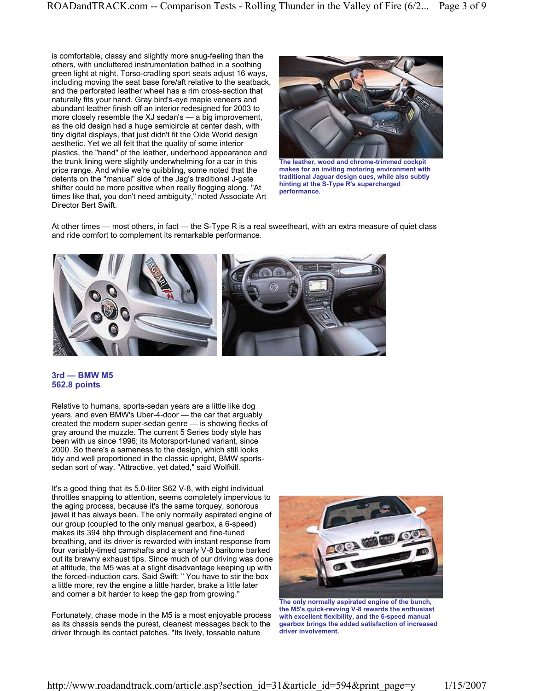is comfortable, classy and slightly more snug-feeling than the others, with uncluttered instrumentation bathed in a soothing green light at night. Torso-cradling sport seats adjust 16 ways, including moving the seat base fore/aft relative to the seatback, and the perforated leather wheel has a rim cross-section that naturally fits your hand. Gray bird's-eye maple veneers and abundant leather finish off an interior redesigned for 2003 to more closely resemble the XJ sedan's — a big improvement, as the old design had a huge semicircle at center dash, with tiny digital displays, that just didn't fit the Olde World design aesthetic. Yet we all felt that the quality of some interior plastics, the "hand" of the leather, underhood appearance and the trunk lining were slightly underwhelming for a car in this price range. And while we're quibbling, some noted that the detents on the "manual" side of the Jag's traditional J-gate shifter could be more positive when really flogging along. "At times like that, you don't need ambiguity," noted Associate Art Director Bert Swift.



**The leather, wood and chrome-trimmed cockpit makes for an inviting motoring environment with traditional Jaguar design cues, while also subtly hinting at the S-Type R's supercharged performance.** 

At other times — most others, in fact — the S-Type R is a real sweetheart, with an extra measure of quiet class and ride comfort to complement its remarkable performance.



## **3rd — BMW M5 562.8 points**

Relative to humans, sports-sedan years are a little like dog years, and even BMW's Uber-4-door — the car that arguably created the modern super-sedan genre — is showing flecks of gray around the muzzle. The current 5 Series body style has been with us since 1996; its Motorsport-tuned variant, since 2000. So there's a sameness to the design, which still looks tidy and well proportioned in the classic upright, BMW sportssedan sort of way. "Attractive, yet dated," said Wolfkill.

It's a good thing that its 5.0-liter S62 V-8, with eight individual throttles snapping to attention, seems completely impervious to the aging process, because it's the same torquey, sonorous jewel it has always been. The only normally aspirated engine of our group (coupled to the only manual gearbox, a 6-speed) makes its 394 bhp through displacement and fine-tuned breathing, and its driver is rewarded with instant response from four variably-timed camshafts and a snarly V-8 baritone barked out its brawny exhaust tips. Since much of our driving was done at altitude, the M5 was at a slight disadvantage keeping up with the forced-induction cars. Said Swift: " You have to stir the box a little more, rev the engine a little harder, brake a little later and corner a bit harder to keep the gap from growing."

Fortunately, chase mode in the M5 is a most enjoyable process as its chassis sends the purest, cleanest messages back to the driver through its contact patches. "Its lively, tossable nature



**The only normally aspirated engine of the bunch, the M5's quick-revving V-8 rewards the enthusiast with excellent flexibility, and the 6-speed manual gearbox brings the added satisfaction of increased driver involvement.**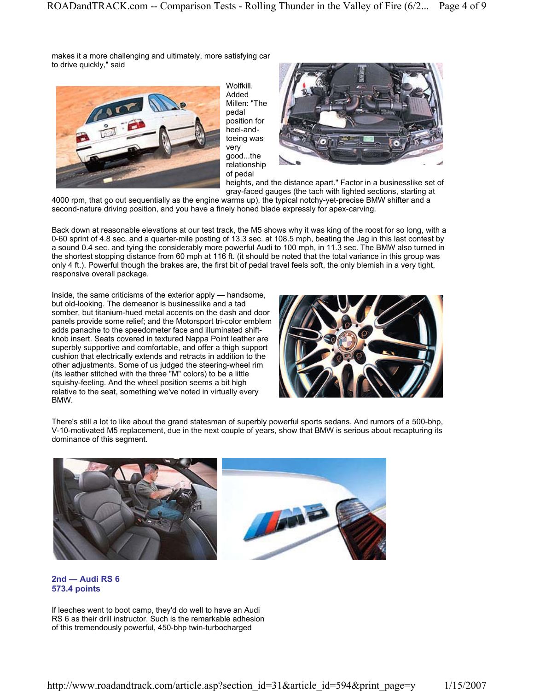makes it a more challenging and ultimately, more satisfying car to drive quickly," said



Wolfkill. Added Millen: "The pedal position for heel-andtoeing was very good...the relationship of pedal



heights, and the distance apart." Factor in a businesslike set of gray-faced gauges (the tach with lighted sections, starting at

4000 rpm, that go out sequentially as the engine warms up), the typical notchy-yet-precise BMW shifter and a second-nature driving position, and you have a finely honed blade expressly for apex-carving.

Back down at reasonable elevations at our test track, the M5 shows why it was king of the roost for so long, with a 0-60 sprint of 4.8 sec. and a quarter-mile posting of 13.3 sec. at 108.5 mph, beating the Jag in this last contest by a sound 0.4 sec. and tying the considerably more powerful Audi to 100 mph, in 11.3 sec. The BMW also turned in the shortest stopping distance from 60 mph at 116 ft. (it should be noted that the total variance in this group was only 4 ft.). Powerful though the brakes are, the first bit of pedal travel feels soft, the only blemish in a very tight, responsive overall package.

Inside, the same criticisms of the exterior apply — handsome, but old-looking. The demeanor is businesslike and a tad somber, but titanium-hued metal accents on the dash and door panels provide some relief; and the Motorsport tri-color emblem adds panache to the speedometer face and illuminated shiftknob insert. Seats covered in textured Nappa Point leather are superbly supportive and comfortable, and offer a thigh support cushion that electrically extends and retracts in addition to the other adjustments. Some of us judged the steering-wheel rim (its leather stitched with the three "M" colors) to be a little squishy-feeling. And the wheel position seems a bit high relative to the seat, something we've noted in virtually every BMW.



There's still a lot to like about the grand statesman of superbly powerful sports sedans. And rumors of a 500-bhp, V-10-motivated M5 replacement, due in the next couple of years, show that BMW is serious about recapturing its dominance of this segment.



### **2nd — Audi RS 6 573.4 points**

If leeches went to boot camp, they'd do well to have an Audi RS 6 as their drill instructor. Such is the remarkable adhesion of this tremendously powerful, 450-bhp twin-turbocharged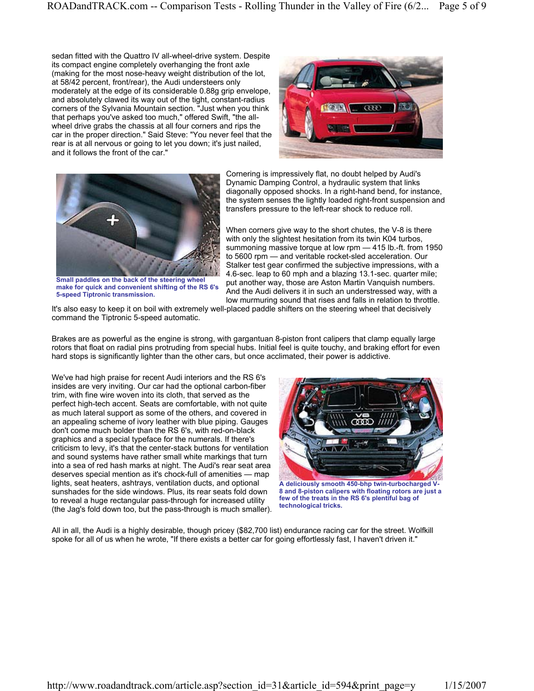sedan fitted with the Quattro IV all-wheel-drive system. Despite its compact engine completely overhanging the front axle (making for the most nose-heavy weight distribution of the lot, at 58/42 percent, front/rear), the Audi understeers only moderately at the edge of its considerable 0.88g grip envelope, and absolutely clawed its way out of the tight, constant-radius corners of the Sylvania Mountain section. "Just when you think that perhaps you've asked too much," offered Swift, "the allwheel drive grabs the chassis at all four corners and rips the car in the proper direction." Said Steve: "You never feel that the rear is at all nervous or going to let you down; it's just nailed, and it follows the front of the car."





**Small paddles on the back of the steering wheel make for quick and convenient shifting of the RS 6's 5-speed Tiptronic transmission.** 

Cornering is impressively flat, no doubt helped by Audi's Dynamic Damping Control, a hydraulic system that links diagonally opposed shocks. In a right-hand bend, for instance, the system senses the lightly loaded right-front suspension and transfers pressure to the left-rear shock to reduce roll.

When corners give way to the short chutes, the V-8 is there with only the slightest hesitation from its twin K04 turbos, summoning massive torque at low rpm — 415 lb.-ft. from 1950 to 5600 rpm — and veritable rocket-sled acceleration. Our Stalker test gear confirmed the subjective impressions, with a 4.6-sec. leap to 60 mph and a blazing 13.1-sec. quarter mile; put another way, those are Aston Martin Vanquish numbers. And the Audi delivers it in such an understressed way, with a low murmuring sound that rises and falls in relation to throttle.

It's also easy to keep it on boil with extremely well-placed paddle shifters on the steering wheel that decisively command the Tiptronic 5-speed automatic.

Brakes are as powerful as the engine is strong, with gargantuan 8-piston front calipers that clamp equally large rotors that float on radial pins protruding from special hubs. Initial feel is quite touchy, and braking effort for even hard stops is significantly lighter than the other cars, but once acclimated, their power is addictive.

We've had high praise for recent Audi interiors and the RS 6's insides are very inviting. Our car had the optional carbon-fiber trim, with fine wire woven into its cloth, that served as the perfect high-tech accent. Seats are comfortable, with not quite as much lateral support as some of the others, and covered in an appealing scheme of ivory leather with blue piping. Gauges don't come much bolder than the RS 6's, with red-on-black graphics and a special typeface for the numerals. If there's criticism to levy, it's that the center-stack buttons for ventilation and sound systems have rather small white markings that turn into a sea of red hash marks at night. The Audi's rear seat area deserves special mention as it's chock-full of amenities — map lights, seat heaters, ashtrays, ventilation ducts, and optional sunshades for the side windows. Plus, its rear seats fold down to reveal a huge rectangular pass-through for increased utility (the Jag's fold down too, but the pass-through is much smaller).



**A deliciously smooth 450-bhp twin-turbocharged V-8 and 8-piston calipers with floating rotors are just a few of the treats in the RS 6's plentiful bag of technological tricks.** 

All in all, the Audi is a highly desirable, though pricey (\$82,700 list) endurance racing car for the street. Wolfkill spoke for all of us when he wrote, "If there exists a better car for going effortlessly fast, I haven't driven it."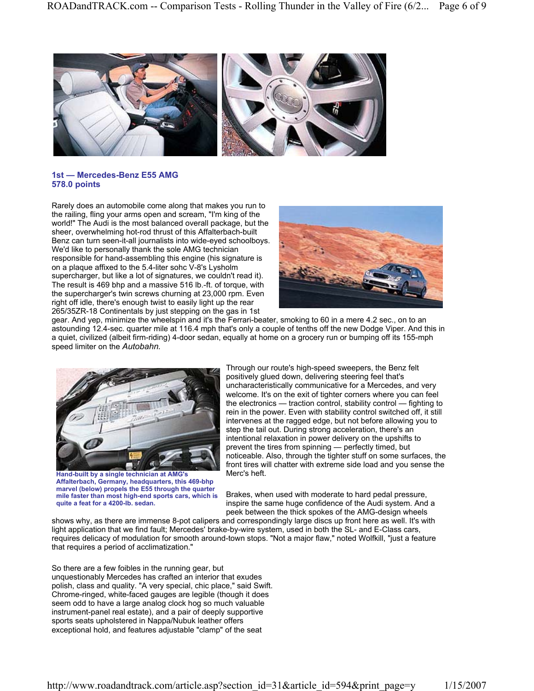

### **1st — Mercedes-Benz E55 AMG 578.0 points**

Rarely does an automobile come along that makes you run to the railing, fling your arms open and scream, "I'm king of the world!" The Audi is the most balanced overall package, but the sheer, overwhelming hot-rod thrust of this Affalterbach-built Benz can turn seen-it-all journalists into wide-eyed schoolboys. We'd like to personally thank the sole AMG technician responsible for hand-assembling this engine (his signature is on a plaque affixed to the 5.4-liter sohc V-8's Lysholm supercharger, but like a lot of signatures, we couldn't read it). The result is 469 bhp and a massive 516 lb.-ft. of torque, with the supercharger's twin screws churning at 23,000 rpm. Even right off idle, there's enough twist to easily light up the rear 265/35ZR-18 Continentals by just stepping on the gas in 1st



gear. And yep, minimize the wheelspin and it's the Ferrari-beater, smoking to 60 in a mere 4.2 sec., on to an astounding 12.4-sec. quarter mile at 116.4 mph that's only a couple of tenths off the new Dodge Viper. And this in a quiet, civilized (albeit firm-riding) 4-door sedan, equally at home on a grocery run or bumping off its 155-mph speed limiter on the *Autobahn.*



**Hand-built by a single technician at AMG's Affalterbach, Germany, headquarters, this 469-bhp marvel (below) propels the E55 through the quarter mile faster than most high-end sports cars, which is quite a feat for a 4200-lb. sedan.** 

Through our route's high-speed sweepers, the Benz felt positively glued down, delivering steering feel that's uncharacteristically communicative for a Mercedes, and very welcome. It's on the exit of tighter corners where you can feel the electronics — traction control, stability control — fighting to rein in the power. Even with stability control switched off, it still intervenes at the ragged edge, but not before allowing you to step the tail out. During strong acceleration, there's an intentional relaxation in power delivery on the upshifts to prevent the tires from spinning — perfectly timed, but noticeable. Also, through the tighter stuff on some surfaces, the front tires will chatter with extreme side load and you sense the Merc's heft.

Brakes, when used with moderate to hard pedal pressure, inspire the same huge confidence of the Audi system. And a peek between the thick spokes of the AMG-design wheels

shows why, as there are immense 8-pot calipers and correspondingly large discs up front here as well. It's with light application that we find fault; Mercedes' brake-by-wire system, used in both the SL- and E-Class cars, requires delicacy of modulation for smooth around-town stops. "Not a major flaw," noted Wolfkill, "just a feature that requires a period of acclimatization."

So there are a few foibles in the running gear, but unquestionably Mercedes has crafted an interior that exudes polish, class and quality. "A very special, chic place," said Swift. Chrome-ringed, white-faced gauges are legible (though it does seem odd to have a large analog clock hog so much valuable instrument-panel real estate), and a pair of deeply supportive sports seats upholstered in Nappa/Nubuk leather offers exceptional hold, and features adjustable "clamp" of the seat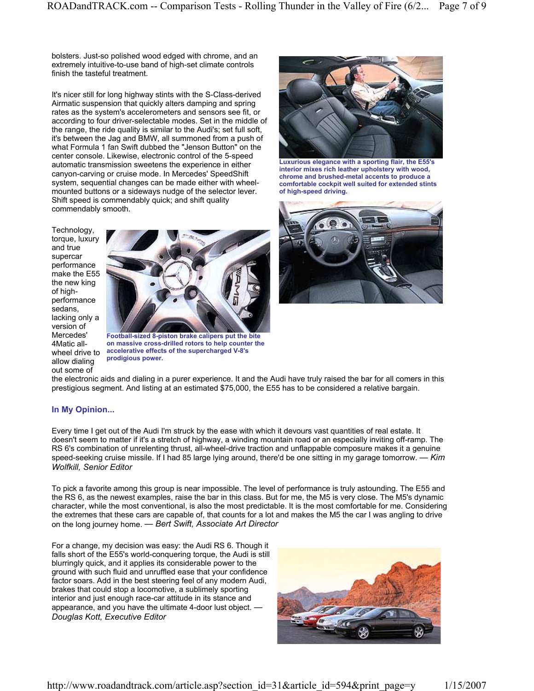bolsters. Just-so polished wood edged with chrome, and an extremely intuitive-to-use band of high-set climate controls finish the tasteful treatment.

It's nicer still for long highway stints with the S-Class-derived Airmatic suspension that quickly alters damping and spring rates as the system's accelerometers and sensors see fit, or according to four driver-selectable modes. Set in the middle of the range, the ride quality is similar to the Audi's; set full soft, it's between the Jag and BMW, all summoned from a push of what Formula 1 fan Swift dubbed the "Jenson Button" on the center console. Likewise, electronic control of the 5-speed automatic transmission sweetens the experience in either canyon-carving or cruise mode. In Mercedes' SpeedShift system, sequential changes can be made either with wheelmounted buttons or a sideways nudge of the selector lever. Shift speed is commendably quick; and shift quality commendably smooth.

Technology, torque, luxury and true supercar performance make the E55 the new king of highperformance sedans, lacking only a version of Mercedes' 4Matic allwheel drive to allow dialing out some of



**Football-sized 8-piston brake calipers put the bite on massive cross-drilled rotors to help counter the accelerative effects of the supercharged V-8's prodigious power.** 



**Luxurious elegance with a sporting flair, the E55's interior mixes rich leather upholstery with wood, chrome and brushed-metal accents to produce a comfortable cockpit well suited for extended stints of high-speed driving.** 



the electronic aids and dialing in a purer experience. It and the Audi have truly raised the bar for all comers in this prestigious segment. And listing at an estimated \$75,000, the E55 has to be considered a relative bargain.

# **In My Opinion...**

Every time I get out of the Audi I'm struck by the ease with which it devours vast quantities of real estate. It doesn't seem to matter if it's a stretch of highway, a winding mountain road or an especially inviting off-ramp. The RS 6's combination of unrelenting thrust, all-wheel-drive traction and unflappable composure makes it a genuine speed-seeking cruise missile. If I had 85 large lying around, there'd be one sitting in my garage tomorrow. *— Kim Wolfkill, Senior Editor*

To pick a favorite among this group is near impossible. The level of performance is truly astounding. The E55 and the RS 6, as the newest examples, raise the bar in this class. But for me, the M5 is very close. The M5's dynamic character, while the most conventional, is also the most predictable. It is the most comfortable for me. Considering the extremes that these cars are capable of, that counts for a lot and makes the M5 the car I was angling to drive on the long journey home. *— Bert Swift, Associate Art Director*

For a change, my decision was easy: the Audi RS 6. Though it falls short of the E55's world-conquering torque, the Audi is still blurringly quick, and it applies its considerable power to the ground with such fluid and unruffled ease that your confidence factor soars. Add in the best steering feel of any modern Audi, brakes that could stop a locomotive, a sublimely sporting interior and just enough race-car attitude in its stance and appearance, and you have the ultimate 4-door lust object. *— Douglas Kott, Executive Editor*

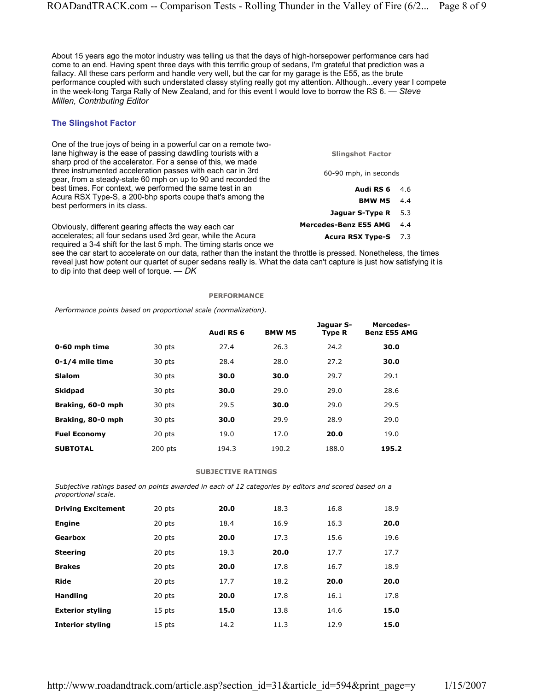About 15 years ago the motor industry was telling us that the days of high-horsepower performance cars had come to an end. Having spent three days with this terrific group of sedans, I'm grateful that prediction was a fallacy. All these cars perform and handle very well, but the car for my garage is the E55, as the brute performance coupled with such understated classy styling really got my attention. Although...every year I compete in the week-long Targa Rally of New Zealand, and for this event I would love to borrow the RS 6. *— Steve Millen, Contributing Editor*

# **The Slingshot Factor**

One of the true joys of being in a powerful car on a remote twolane highway is the ease of passing dawdling tourists with a sharp prod of the accelerator. For a sense of this, we made three instrumented acceleration passes with each car in 3rd gear, from a steady-state 60 mph on up to 90 and recorded the best times. For context, we performed the same test in an Acura RSX Type-S, a 200-bhp sports coupe that's among the best performers in its class.

Obviously, different gearing affects the way each car accelerates; all four sedans used 3rd gear, while the Acura required a 3-4 shift for the last 5 mph. The timing starts once we

see the car start to accelerate on our data, rather than the instant the throttle is pressed. Nonetheless, the times reveal just how potent our quartet of super sedans really is. What the data can't capture is just how satisfying it is to dip into that deep well of torque. *— DK*

#### **PERFORMANCE**

*Performance points based on proportional scale (normalization).*

|                     |           | Audi RS 6 | <b>BMW M5</b> | Jaguar S-<br><b>Type R</b> | Mercedes-<br><b>Benz E55 AMG</b> |
|---------------------|-----------|-----------|---------------|----------------------------|----------------------------------|
| 0-60 mph time       | 30 pts    | 27.4      | 26.3          | 24.2                       | 30.0                             |
| $0-1/4$ mile time   | 30 pts    | 28.4      | 28.0          | 27.2                       | 30.0                             |
| <b>Slalom</b>       | 30 pts    | 30.0      | 30.0          | 29.7                       | 29.1                             |
| <b>Skidpad</b>      | 30 pts    | 30.0      | 29.0          | 29.0                       | 28.6                             |
| Braking, 60-0 mph   | 30 pts    | 29.5      | 30.0          | 29.0                       | 29.5                             |
| Braking, 80-0 mph   | 30 pts    | 30.0      | 29.9          | 28.9                       | 29.0                             |
| <b>Fuel Economy</b> | 20 pts    | 19.0      | 17.0          | 20.0                       | 19.0                             |
| <b>SUBTOTAL</b>     | $200$ pts | 194.3     | 190.2         | 188.0                      | 195.2                            |

#### **SUBJECTIVE RATINGS**

*Subjective ratings based on points awarded in each of 12 categories by editors and scored based on a proportional scale.*

| <b>Driving Excitement</b> | 20 pts | 20.0 | 18.3 | 16.8 | 18.9 |
|---------------------------|--------|------|------|------|------|
| <b>Engine</b>             | 20 pts | 18.4 | 16.9 | 16.3 | 20.0 |
| Gearbox                   | 20 pts | 20.0 | 17.3 | 15.6 | 19.6 |
| <b>Steering</b>           | 20 pts | 19.3 | 20.0 | 17.7 | 17.7 |
| <b>Brakes</b>             | 20 pts | 20.0 | 17.8 | 16.7 | 18.9 |
| <b>Ride</b>               | 20 pts | 17.7 | 18.2 | 20.0 | 20.0 |
| <b>Handling</b>           | 20 pts | 20.0 | 17.8 | 16.1 | 17.8 |
| <b>Exterior styling</b>   | 15 pts | 15.0 | 13.8 | 14.6 | 15.0 |
| <b>Interior styling</b>   | 15 pts | 14.2 | 11.3 | 12.9 | 15.0 |

**Slingshot Factor**

60-90 mph, in seconds

- **Audi RS 6** 4.6
- **BMW M5** 4.4
- **Jaguar S-Type R** 5.3
- **Mercedes-Benz E55 AMG** 4.4
	- **Acura RSX Type-S** 7.3